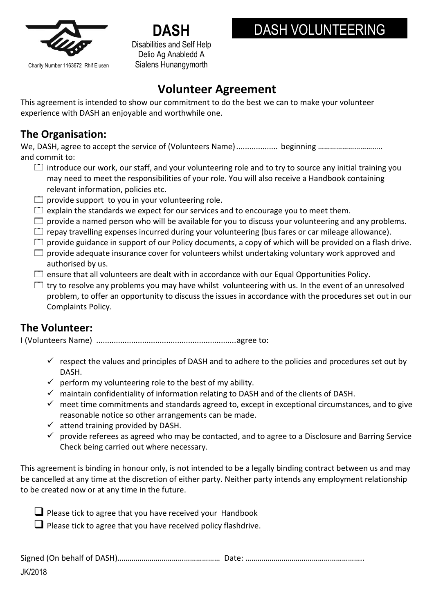

Charity Number 1163672 Rhif Elusen

**DASH** Disabilities and Self Help Delio Ag Anabledd A Sialens Hunangymorth

## DASH VOLUNTEERING

## **Volunteer Agreement**

This agreement is intended to show our commitment to do the best we can to make your volunteer experience with DASH an enjoyable and worthwhile one.

## **The Organisation:**

We, DASH, agree to accept the service of (Volunteers Name)................... beginning ………………………….. and commit to:

- $\Box$  introduce our work, our staff, and your volunteering role and to try to source any initial training you may need to meet the responsibilities of your role. You will also receive a Handbook containing relevant information, policies etc.
- $\Box$  provide support to you in your volunteering role.
- $\Box$  explain the standards we expect for our services and to encourage you to meet them.
- $\square$  provide a named person who will be available for you to discuss your volunteering and any problems.
- $\Box$  repay travelling expenses incurred during your volunteering (bus fares or car mileage allowance).
- $\Box$  provide guidance in support of our Policy documents, a copy of which will be provided on a flash drive.
- $\square$  provide adequate insurance cover for volunteers whilst undertaking voluntary work approved and authorised by us.
- $\Box$  ensure that all volunteers are dealt with in accordance with our Equal Opportunities Policy.
- $\Box$  try to resolve any problems you may have whilst volunteering with us. In the event of an unresolved problem, to offer an opportunity to discuss the issues in accordance with the procedures set out in our Complaints Policy.

## **The Volunteer:**

I (Volunteers Name) ................................................................agree to:

- $\checkmark$  respect the values and principles of DASH and to adhere to the policies and procedures set out by DASH.
- $\checkmark$  perform my volunteering role to the best of my ability.
- $\checkmark$  maintain confidentiality of information relating to DASH and of the clients of DASH.
- $\checkmark$  meet time commitments and standards agreed to, except in exceptional circumstances, and to give reasonable notice so other arrangements can be made.
- $\checkmark$  attend training provided by DASH.
- $\checkmark$  provide referees as agreed who may be contacted, and to agree to a Disclosure and Barring Service Check being carried out where necessary.

This agreement is binding in honour only, is not intended to be a legally binding contract between us and may be cancelled at any time at the discretion of either party. Neither party intends any employment relationship to be created now or at any time in the future.

Please tick to agree that you have received your Handbook

 $\Box$  Please tick to agree that you have received policy flashdrive.

| JK/2018 |  |
|---------|--|